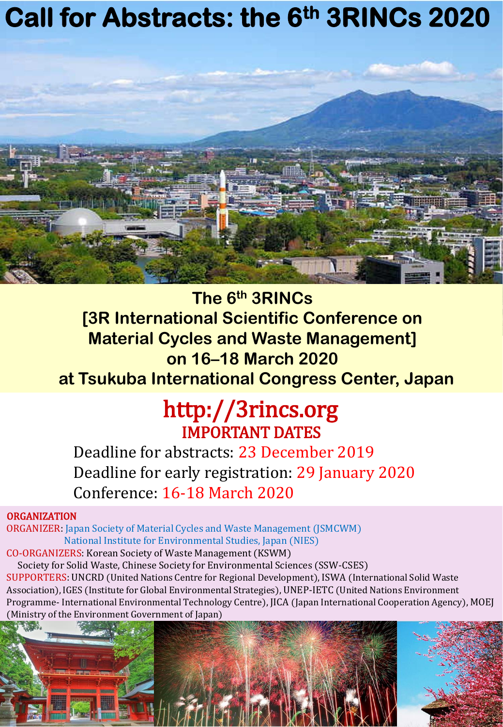# **Call for Abstracts: the 6th 3RINCs 2020**



**The 6th 3RINCs [3R International Scientific Conference on Material Cycles and Waste Management] on 16–18 March 2020 at Tsukuba International Congress Center, Japan**

# http://3rincs.org IMPORTANT DATES

Deadline for abstracts: 23 December 2019 Deadline for early registration: 29 January 2020 Conference: 16-18 March 2020

# **ORGANIZATION**

ORGANIZER: Japan Society of Material Cycles and Waste Management (JSMCWM) National Institute for Environmental Studies, Japan (NIES) CO-ORGANIZERS: Korean Society of Waste Management (KSWM)

Society for Solid Waste, Chinese Society for Environmental Sciences (SSW-CSES) SUPPORTERS: UNCRD (United Nations Centre for Regional Development), ISWA (International Solid Waste Association), IGES (Institute for Global Environmental Strategies), UNEP-IETC (United Nations Environment Programme- International Environmental Technology Centre), JICA (Japan International Cooperation Agency), MOEJ (Ministry of the Environment Government of Japan)